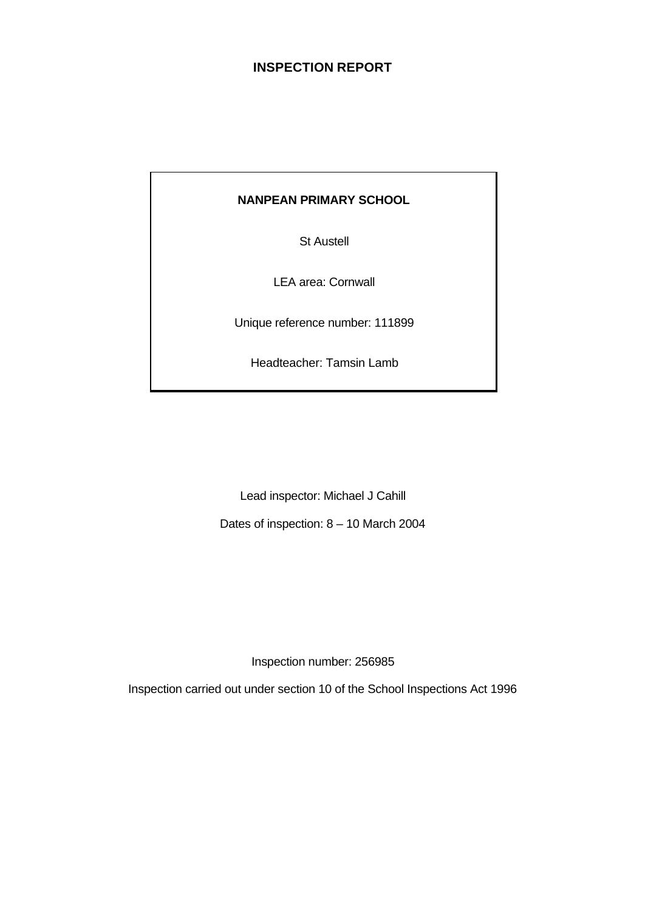# **INSPECTION REPORT**

# **NANPEAN PRIMARY SCHOOL**

St Austell

LEA area: Cornwall

Unique reference number: 111899

Headteacher: Tamsin Lamb

Lead inspector: Michael J Cahill

Dates of inspection: 8 – 10 March 2004

Inspection number: 256985

Inspection carried out under section 10 of the School Inspections Act 1996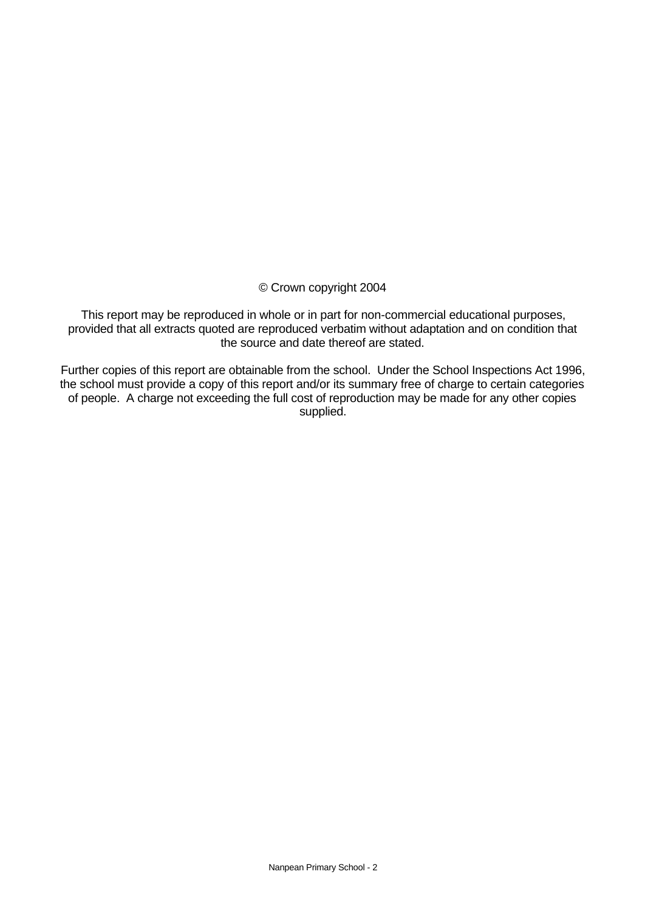#### © Crown copyright 2004

This report may be reproduced in whole or in part for non-commercial educational purposes, provided that all extracts quoted are reproduced verbatim without adaptation and on condition that the source and date thereof are stated.

Further copies of this report are obtainable from the school. Under the School Inspections Act 1996, the school must provide a copy of this report and/or its summary free of charge to certain categories of people. A charge not exceeding the full cost of reproduction may be made for any other copies supplied.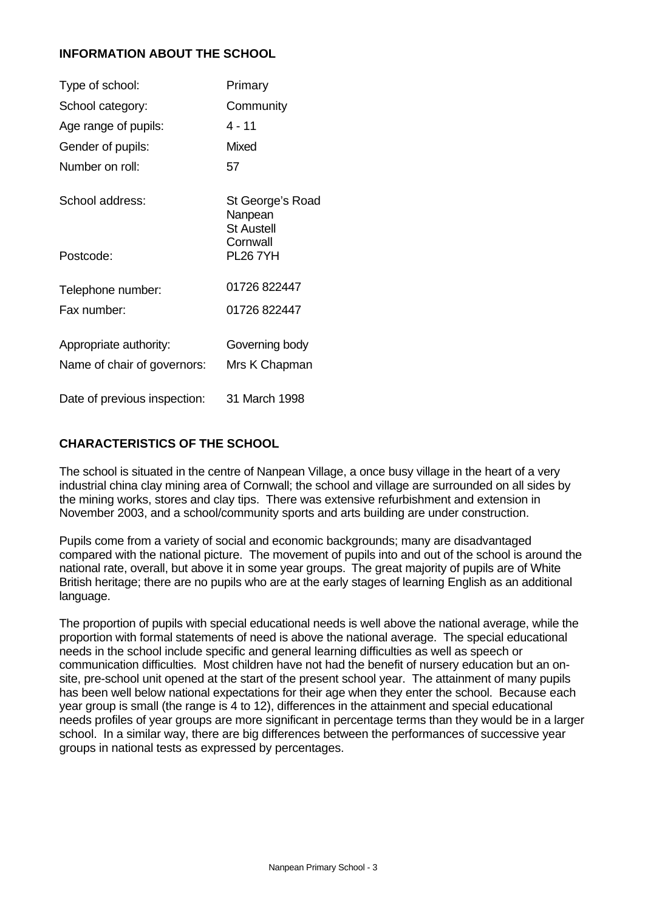# **INFORMATION ABOUT THE SCHOOL**

| Type of school:              | Primary                                          |
|------------------------------|--------------------------------------------------|
| School category:             | Community                                        |
| Age range of pupils:         | 4 - 11                                           |
| Gender of pupils:            | Mixed                                            |
| Number on roll:              | 57                                               |
| School address:              | St George's Road<br>Nanpean<br><b>St Austell</b> |
| Postcode:                    | Cornwall<br><b>PL26 7YH</b>                      |
| Telephone number:            | 01726 822447                                     |
| Fax number:                  | 01726 822447                                     |
| Appropriate authority:       | Governing body                                   |
| Name of chair of governors:  | Mrs K Chapman                                    |
| Date of previous inspection: | 31 March 1998                                    |

# **CHARACTERISTICS OF THE SCHOOL**

The school is situated in the centre of Nanpean Village, a once busy village in the heart of a very industrial china clay mining area of Cornwall; the school and village are surrounded on all sides by the mining works, stores and clay tips. There was extensive refurbishment and extension in November 2003, and a school/community sports and arts building are under construction.

Pupils come from a variety of social and economic backgrounds; many are disadvantaged compared with the national picture.The movement of pupils into and out of the school is around the national rate, overall, but above it in some year groups.The great majority of pupils are of White British heritage; there are no pupils who are at the early stages of learning English as an additional language.

The proportion of pupils with special educational needs is well above the national average, while the proportion with formal statements of need is above the national average. The special educational needs in the school include specific and general learning difficulties as well as speech or communication difficulties. Most children have not had the benefit of nursery education but an onsite, pre-school unit opened at the start of the present school year. The attainment of many pupils has been well below national expectations for their age when they enter the school.Because each year group is small (the range is 4 to 12), differences in the attainment and special educational needs profiles of year groups are more significant in percentage terms than they would be in a larger school. In a similar way, there are big differences between the performances of successive year groups in national tests as expressed by percentages.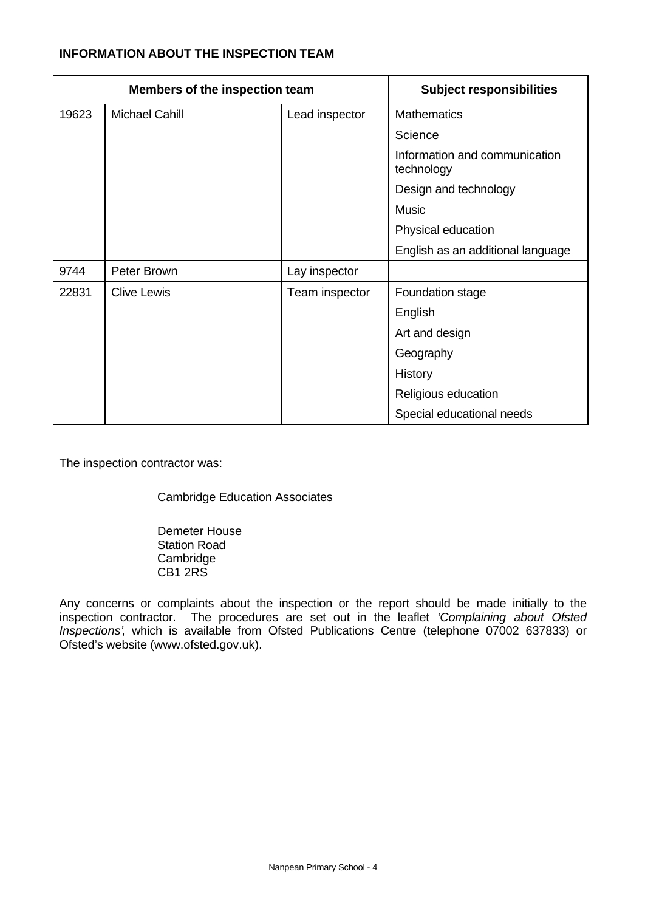# **INFORMATION ABOUT THE INSPECTION TEAM**

| Members of the inspection team |                       |                | <b>Subject responsibilities</b>             |
|--------------------------------|-----------------------|----------------|---------------------------------------------|
| 19623                          | <b>Michael Cahill</b> | Lead inspector | <b>Mathematics</b>                          |
|                                |                       |                | Science                                     |
|                                |                       |                | Information and communication<br>technology |
|                                |                       |                | Design and technology                       |
|                                |                       |                | <b>Music</b>                                |
|                                |                       |                | Physical education                          |
|                                |                       |                | English as an additional language           |
| 9744                           | Peter Brown           | Lay inspector  |                                             |
| 22831                          | <b>Clive Lewis</b>    | Team inspector | Foundation stage                            |
|                                |                       |                | English                                     |
|                                |                       |                | Art and design                              |
|                                |                       |                | Geography                                   |
|                                |                       |                | History                                     |
|                                |                       |                | Religious education                         |
|                                |                       |                | Special educational needs                   |

The inspection contractor was:

Cambridge Education Associates

Demeter House Station Road Cambridge CB1 2RS

Any concerns or complaints about the inspection or the report should be made initially to the inspection contractor. The procedures are set out in the leaflet *'Complaining about Ofsted Inspections'*, which is available from Ofsted Publications Centre (telephone 07002 637833) or Ofsted's website (www.ofsted.gov.uk).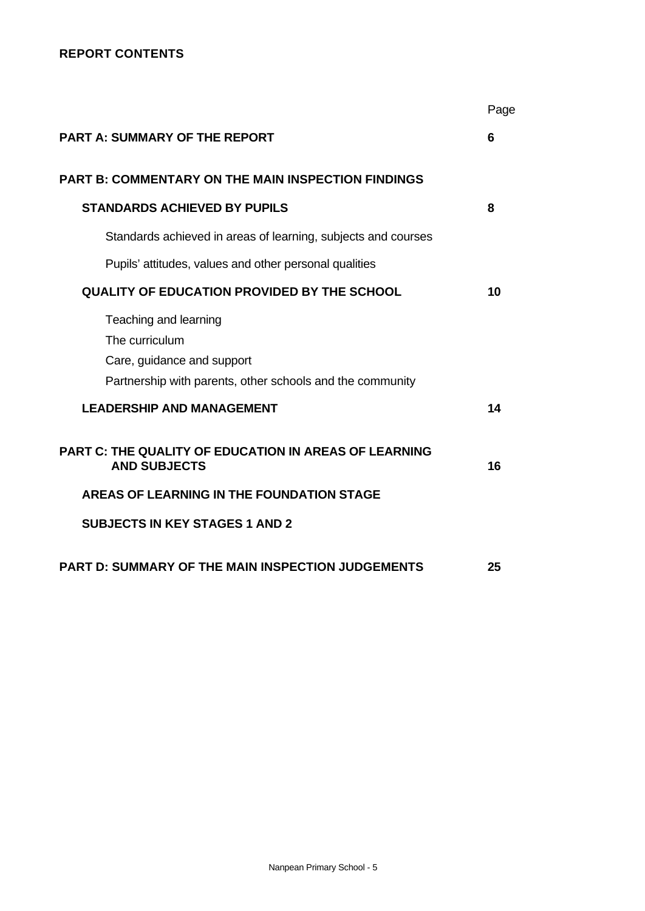## **REPORT CONTENTS**

|                                                                                                                                    | Page |
|------------------------------------------------------------------------------------------------------------------------------------|------|
| <b>PART A: SUMMARY OF THE REPORT</b>                                                                                               | 6    |
| <b>PART B: COMMENTARY ON THE MAIN INSPECTION FINDINGS</b>                                                                          |      |
| <b>STANDARDS ACHIEVED BY PUPILS</b>                                                                                                | 8    |
| Standards achieved in areas of learning, subjects and courses                                                                      |      |
| Pupils' attitudes, values and other personal qualities                                                                             |      |
| <b>QUALITY OF EDUCATION PROVIDED BY THE SCHOOL</b>                                                                                 | 10   |
| Teaching and learning<br>The curriculum<br>Care, guidance and support<br>Partnership with parents, other schools and the community |      |
| <b>LEADERSHIP AND MANAGEMENT</b>                                                                                                   | 14   |
| <b>PART C: THE QUALITY OF EDUCATION IN AREAS OF LEARNING</b><br><b>AND SUBJECTS</b>                                                | 16   |
| AREAS OF LEARNING IN THE FOUNDATION STAGE                                                                                          |      |
| <b>SUBJECTS IN KEY STAGES 1 AND 2</b>                                                                                              |      |
| <b>PART D: SUMMARY OF THE MAIN INSPECTION JUDGEMENTS</b>                                                                           | 25   |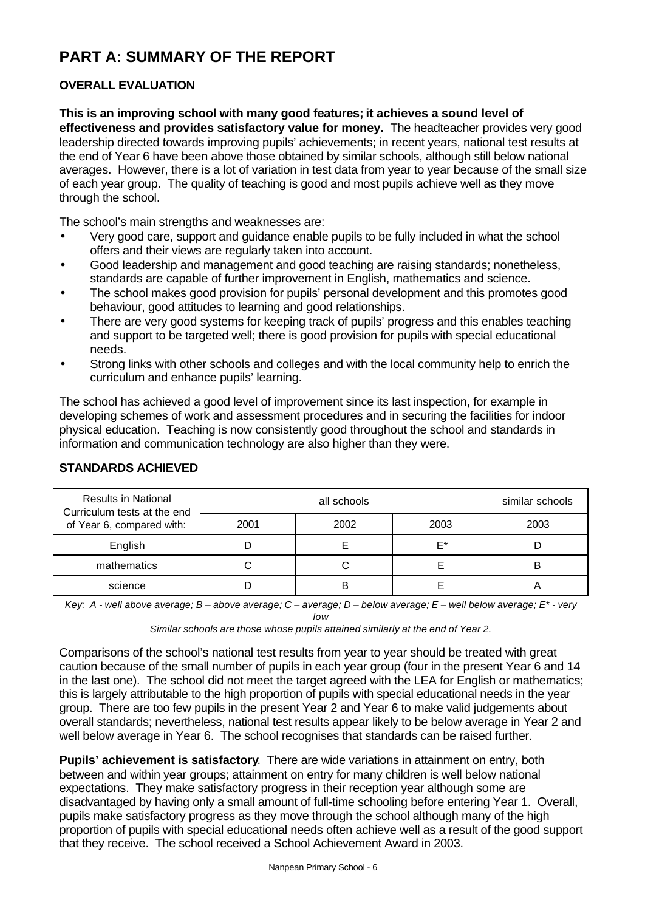# **PART A: SUMMARY OF THE REPORT**

# **OVERALL EVALUATION**

**This is an improving school with many good features; it achieves a sound level of effectiveness and provides satisfactory value for money.** The headteacher provides very good leadership directed towards improving pupils' achievements; in recent years, national test results at the end of Year 6 have been above those obtained by similar schools, although still below national averages. However, there is a lot of variation in test data from year to year because of the small size of each year group. The quality of teaching is good and most pupils achieve well as they move through the school.

The school's main strengths and weaknesses are:

- Very good care, support and quidance enable pupils to be fully included in what the school offers and their views are regularly taken into account.
- Good leadership and management and good teaching are raising standards; nonetheless, standards are capable of further improvement in English, mathematics and science.
- The school makes good provision for pupils' personal development and this promotes good behaviour, good attitudes to learning and good relationships.
- There are very good systems for keeping track of pupils' progress and this enables teaching and support to be targeted well; there is good provision for pupils with special educational needs.
- Strong links with other schools and colleges and with the local community help to enrich the curriculum and enhance pupils' learning.

The school has achieved a good level of improvement since its last inspection, for example in developing schemes of work and assessment procedures and in securing the facilities for indoor physical education. Teaching is now consistently good throughout the school and standards in information and communication technology are also higher than they were.

| <b>Results in National</b><br>Curriculum tests at the end |      | all schools |      |      |  |  |
|-----------------------------------------------------------|------|-------------|------|------|--|--|
| of Year 6, compared with:                                 | 2001 | 2002        | 2003 | 2003 |  |  |
| English                                                   |      |             | E*   |      |  |  |
| mathematics                                               |      |             |      | B    |  |  |
| science                                                   |      | в           |      |      |  |  |

# **STANDARDS ACHIEVED**

*Key: A - well above average; B – above average; C – average; D – below average; E – well below average; E\* - very*

*low*

*Similar schools are those whose pupils attained similarly at the end of Year 2.*

Comparisons of the school's national test results from year to year should be treated with great caution because of the small number of pupils in each year group (four in the present Year 6 and 14 in the last one). The school did not meet the target agreed with the LEA for English or mathematics; this is largely attributable to the high proportion of pupils with special educational needs in the year group. There are too few pupils in the present Year 2 and Year 6 to make valid judgements about overall standards; nevertheless, national test results appear likely to be below average in Year 2 and well below average in Year 6. The school recognises that standards can be raised further.

**Pupils' achievement is satisfactory**. There are wide variations in attainment on entry, both between and within year groups; attainment on entry for many children is well below national expectations. They make satisfactory progress in their reception year although some are disadvantaged by having only a small amount of full-time schooling before entering Year 1. Overall, pupils make satisfactory progress as they move through the school although many of the high proportion of pupils with special educational needs often achieve well as a result of the good support that they receive. The school received a School Achievement Award in 2003.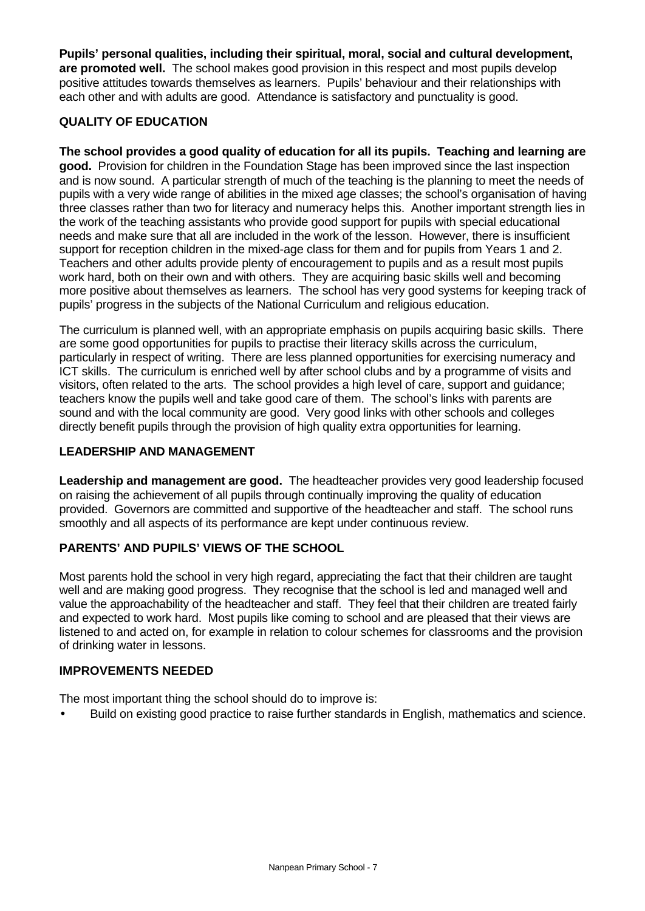**Pupils' personal qualities, including their spiritual, moral, social and cultural development, are promoted well.** The school makes good provision in this respect and most pupils develop positive attitudes towards themselves as learners. Pupils' behaviour and their relationships with each other and with adults are good. Attendance is satisfactory and punctuality is good.

# **QUALITY OF EDUCATION**

**The school provides a good quality of education for all its pupils. Teaching and learning are good.** Provision for children in the Foundation Stage has been improved since the last inspection and is now sound. A particular strength of much of the teaching is the planning to meet the needs of pupils with a very wide range of abilities in the mixed age classes; the school's organisation of having three classes rather than two for literacy and numeracy helps this. Another important strength lies in the work of the teaching assistants who provide good support for pupils with special educational needs and make sure that all are included in the work of the lesson. However, there is insufficient support for reception children in the mixed-age class for them and for pupils from Years 1 and 2. Teachers and other adults provide plenty of encouragement to pupils and as a result most pupils work hard, both on their own and with others. They are acquiring basic skills well and becoming more positive about themselves as learners. The school has very good systems for keeping track of pupils' progress in the subjects of the National Curriculum and religious education.

The curriculum is planned well, with an appropriate emphasis on pupils acquiring basic skills. There are some good opportunities for pupils to practise their literacy skills across the curriculum, particularly in respect of writing. There are less planned opportunities for exercising numeracy and ICT skills. The curriculum is enriched well by after school clubs and by a programme of visits and visitors, often related to the arts. The school provides a high level of care, support and guidance; teachers know the pupils well and take good care of them. The school's links with parents are sound and with the local community are good. Very good links with other schools and colleges directly benefit pupils through the provision of high quality extra opportunities for learning.

# **LEADERSHIP AND MANAGEMENT**

**Leadership and management are good.** The headteacher provides very good leadership focused on raising the achievement of all pupils through continually improving the quality of education provided. Governors are committed and supportive of the headteacher and staff. The school runs smoothly and all aspects of its performance are kept under continuous review.

# **PARENTS' AND PUPILS' VIEWS OF THE SCHOOL**

Most parents hold the school in very high regard, appreciating the fact that their children are taught well and are making good progress. They recognise that the school is led and managed well and value the approachability of the headteacher and staff. They feel that their children are treated fairly and expected to work hard. Most pupils like coming to school and are pleased that their views are listened to and acted on, for example in relation to colour schemes for classrooms and the provision of drinking water in lessons.

#### **IMPROVEMENTS NEEDED**

The most important thing the school should do to improve is:

• Build on existing good practice to raise further standards in English, mathematics and science.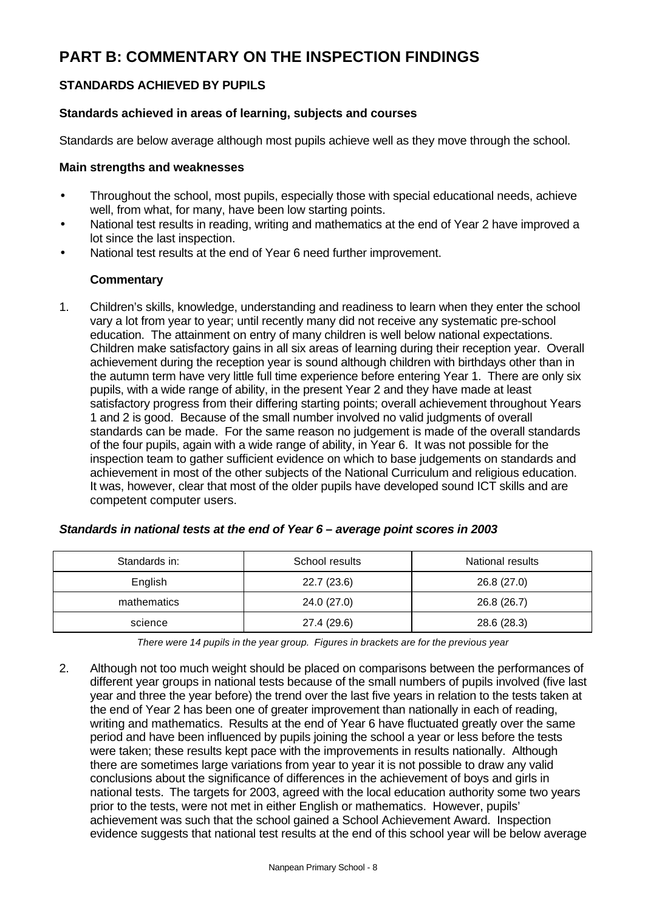# **PART B: COMMENTARY ON THE INSPECTION FINDINGS**

# **STANDARDS ACHIEVED BY PUPILS**

#### **Standards achieved in areas of learning, subjects and courses**

Standards are below average although most pupils achieve well as they move through the school.

#### **Main strengths and weaknesses**

- Throughout the school, most pupils, especially those with special educational needs, achieve well, from what, for many, have been low starting points.
- National test results in reading, writing and mathematics at the end of Year 2 have improved a lot since the last inspection.
- National test results at the end of Year 6 need further improvement.

#### **Commentary**

1. Children's skills, knowledge, understanding and readiness to learn when they enter the school vary a lot from year to year; until recently many did not receive any systematic pre-school education. The attainment on entry of many children is well below national expectations. Children make satisfactory gains in all six areas of learning during their reception year. Overall achievement during the reception year is sound although children with birthdays other than in the autumn term have very little full time experience before entering Year 1. There are only six pupils, with a wide range of ability, in the present Year 2 and they have made at least satisfactory progress from their differing starting points; overall achievement throughout Years 1 and 2 is good.Because of the small number involved no valid judgments of overall standards can be made.For the same reason no judgement is made of the overall standards of the four pupils, again with a wide range of ability, in Year 6.It was not possible for the inspection team to gather sufficient evidence on which to base judgements on standards and achievement in most of the other subjects of the National Curriculum and religious education. It was, however, clear that most of the older pupils have developed sound ICT skills and are competent computer users.

| Standards in: | School results | National results |
|---------------|----------------|------------------|
| English       | 22.7 (23.6)    | 26.8 (27.0)      |
| mathematics   | 24.0 (27.0)    | 26.8 (26.7)      |
| science       | 27.4 (29.6)    | 28.6 (28.3)      |

#### *Standards in national tests at the end of Year 6 – average point scores in 2003*

*There were 14 pupils in the year group. Figures in brackets are for the previous year*

2. Although not too much weight should be placed on comparisons between the performances of different year groups in national tests because of the small numbers of pupils involved (five last year and three the year before) the trend over the last five years in relation to the tests taken at the end of Year 2 has been one of greater improvement than nationally in each of reading, writing and mathematics.Results at the end of Year 6 have fluctuated greatly over the same period and have been influenced by pupils joining the school a year or less before the tests were taken; these results kept pace with the improvements in results nationally.Although there are sometimes large variations from year to year it is not possible to draw any valid conclusions about the significance of differences in the achievement of boys and girls in national tests.The targets for 2003, agreed with the local education authority some two years prior to the tests, were not met in either English or mathematics. However, pupils' achievement was such that the school gained a School Achievement Award. Inspection evidence suggests that national test results at the end of this school year will be below average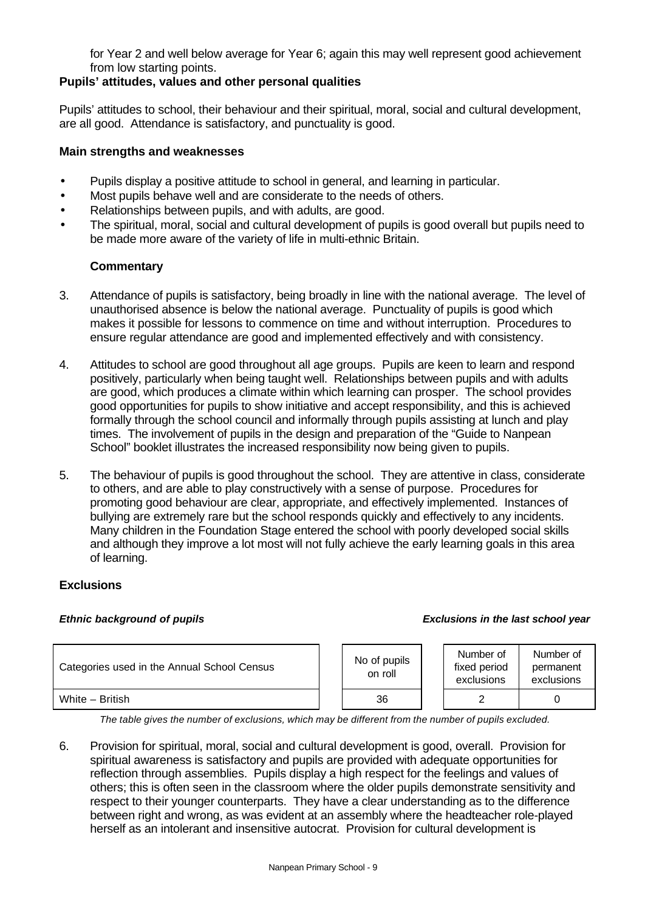for Year 2 and well below average for Year 6; again this may well represent good achievement from low starting points.

## **Pupils' attitudes, values and other personal qualities**

Pupils' attitudes to school, their behaviour and their spiritual, moral, social and cultural development, are all good. Attendance is satisfactory, and punctuality is good.

#### **Main strengths and weaknesses**

- Pupils display a positive attitude to school in general, and learning in particular.
- Most pupils behave well and are considerate to the needs of others.
- Relationships between pupils, and with adults, are good.
- The spiritual, moral, social and cultural development of pupils is good overall but pupils need to be made more aware of the variety of life in multi-ethnic Britain.

#### **Commentary**

- 3. Attendance of pupils is satisfactory, being broadly in line with the national average. The level of unauthorised absence is below the national average. Punctuality of pupils is good which makes it possible for lessons to commence on time and without interruption. Procedures to ensure regular attendance are good and implemented effectively and with consistency.
- 4. Attitudes to school are good throughout all age groups. Pupils are keen to learn and respond positively, particularly when being taught well. Relationships between pupils and with adults are good, which produces a climate within which learning can prosper. The school provides good opportunities for pupils to show initiative and accept responsibility, and this is achieved formally through the school council and informally through pupils assisting at lunch and play times. The involvement of pupils in the design and preparation of the "Guide to Nanpean School" booklet illustrates the increased responsibility now being given to pupils.
- 5. The behaviour of pupils is good throughout the school. They are attentive in class, considerate to others, and are able to play constructively with a sense of purpose. Procedures for promoting good behaviour are clear, appropriate, and effectively implemented. Instances of bullying are extremely rare but the school responds quickly and effectively to any incidents. Many children in the Foundation Stage entered the school with poorly developed social skills and although they improve a lot most will not fully achieve the early learning goals in this area of learning.

#### **Exclusions**

#### *Ethnic background of pupils Exclusions in the last school year*

| Categories used in the Annual School Census |  | No of pupils<br>on roll | Number of<br>fixed period<br>exclusions | Number of<br>permanent<br>exclusions |
|---------------------------------------------|--|-------------------------|-----------------------------------------|--------------------------------------|
| White - British                             |  | 36                      |                                         |                                      |

*The table gives the number of exclusions, which may be different from the number of pupils excluded.*

6. Provision for spiritual, moral, social and cultural development is good, overall. Provision for spiritual awareness is satisfactory and pupils are provided with adequate opportunities for reflection through assemblies. Pupils display a high respect for the feelings and values of others; this is often seen in the classroom where the older pupils demonstrate sensitivity and respect to their younger counterparts. They have a clear understanding as to the difference between right and wrong, as was evident at an assembly where the headteacher role-played herself as an intolerant and insensitive autocrat. Provision for cultural development is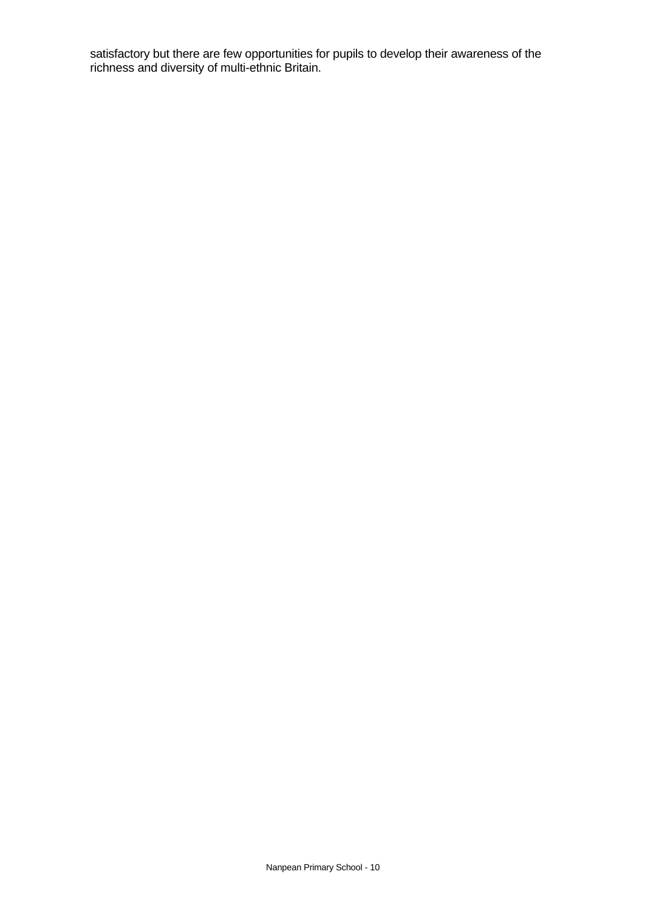satisfactory but there are few opportunities for pupils to develop their awareness of the richness and diversity of multi-ethnic Britain.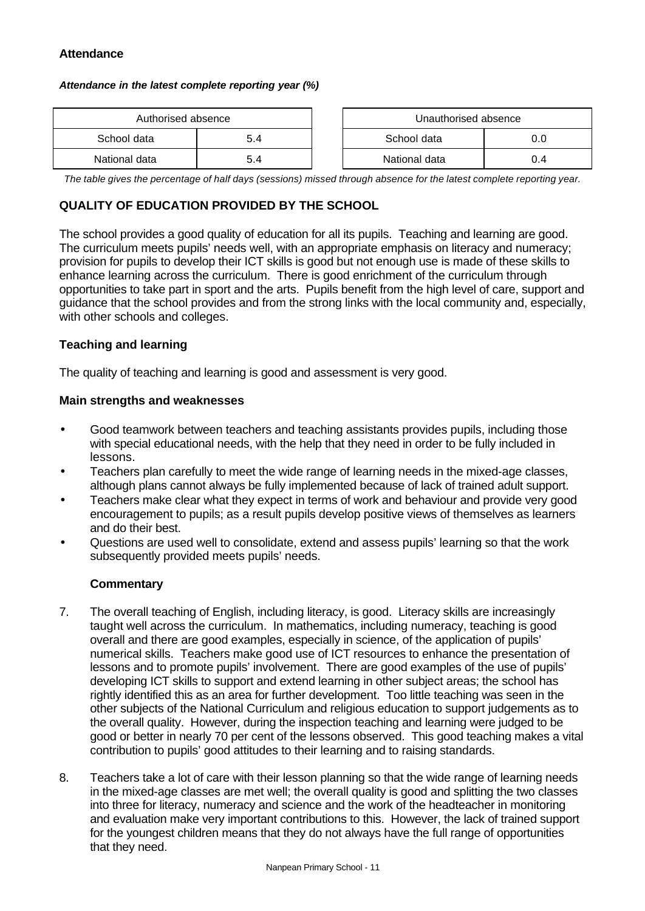## **Attendance**

#### *Attendance in the latest complete reporting year (%)*

| Authorised absence |     |  | Unauthorised absence |     |
|--------------------|-----|--|----------------------|-----|
| School data<br>5.4 |     |  | School data          | 0.0 |
| National data      | 5.4 |  | National data        | 0.4 |

thorised absence

*The table gives the percentage of half days (sessions) missed through absence for the latest complete reporting year.*

# **QUALITY OF EDUCATION PROVIDED BY THE SCHOOL**

The school provides a good quality of education for all its pupils. Teaching and learning are good. The curriculum meets pupils' needs well, with an appropriate emphasis on literacy and numeracy; provision for pupils to develop their ICT skills is good but not enough use is made of these skills to enhance learning across the curriculum. There is good enrichment of the curriculum through opportunities to take part in sport and the arts. Pupils benefit from the high level of care, support and guidance that the school provides and from the strong links with the local community and, especially, with other schools and colleges.

#### **Teaching and learning**

The quality of teaching and learning is good and assessment is very good.

#### **Main strengths and weaknesses**

- Good teamwork between teachers and teaching assistants provides pupils, including those with special educational needs, with the help that they need in order to be fully included in lessons.
- Teachers plan carefully to meet the wide range of learning needs in the mixed-age classes, although plans cannot always be fully implemented because of lack of trained adult support.
- Teachers make clear what they expect in terms of work and behaviour and provide very good encouragement to pupils; as a result pupils develop positive views of themselves as learners and do their best.
- Questions are used well to consolidate, extend and assess pupils' learning so that the work subsequently provided meets pupils' needs.

- 7. The overall teaching of English, including literacy, is good.Literacy skills are increasingly taught well across the curriculum. In mathematics, including numeracy, teaching is good overall and there are good examples, especially in science, of the application of pupils' numerical skills. Teachers make good use of ICT resources to enhance the presentation of lessons and to promote pupils' involvement. There are good examples of the use of pupils' developing ICT skills to support and extend learning in other subject areas; the school has rightly identified this as an area for further development.Too little teaching was seen in the other subjects of the National Curriculum and religious education to support judgements as to the overall quality. However, during the inspection teaching and learning were judged to be good or better in nearly 70 per cent of the lessons observed. This good teaching makes a vital contribution to pupils' good attitudes to their learning and to raising standards.
- 8. Teachers take a lot of care with their lesson planning so that the wide range of learning needs in the mixed-age classes are met well; the overall quality is good and splitting the two classes into three for literacy, numeracy and science and the work of the headteacher in monitoring and evaluation make very important contributions to this. However, the lack of trained support for the youngest children means that they do not always have the full range of opportunities that they need.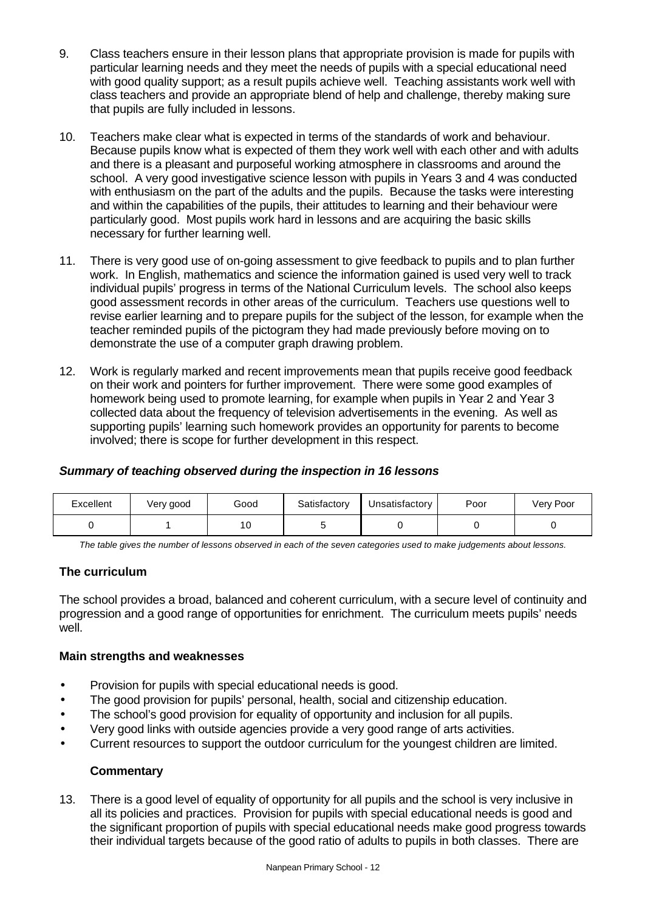- 9. Class teachers ensure in their lesson plans that appropriate provision is made for pupils with particular learning needs and they meet the needs of pupils with a special educational need with good quality support; as a result pupils achieve well. Teaching assistants work well with class teachers and provide an appropriate blend of help and challenge, thereby making sure that pupils are fully included in lessons.
- 10. Teachers make clear what is expected in terms of the standards of work and behaviour. Because pupils know what is expected of them they work well with each other and with adults and there is a pleasant and purposeful working atmosphere in classrooms and around the school.A very good investigative science lesson with pupils in Years 3 and 4 was conducted with enthusiasm on the part of the adults and the pupils. Because the tasks were interesting and within the capabilities of the pupils, their attitudes to learning and their behaviour were particularly good. Most pupils work hard in lessons and are acquiring the basic skills necessary for further learning well.
- 11. There is very good use of on-going assessment to give feedback to pupils and to plan further work. In English, mathematics and science the information gained is used very well to track individual pupils' progress in terms of the National Curriculum levels. The school also keeps good assessment records in other areas of the curriculum. Teachers use questions well to revise earlier learning and to prepare pupils for the subject of the lesson, for example when the teacher reminded pupils of the pictogram they had made previously before moving on to demonstrate the use of a computer graph drawing problem.
- 12. Work is regularly marked and recent improvements mean that pupils receive good feedback on their work and pointers for further improvement. There were some good examples of homework being used to promote learning, for example when pupils in Year 2 and Year 3 collected data about the frequency of television advertisements in the evening. As well as supporting pupils' learning such homework provides an opportunity for parents to become involved; there is scope for further development in this respect.

# *Summary of teaching observed during the inspection in 16 lessons*

| Excellent | Very good | Good | Satisfactory | Unsatisfactory | Poor | Very Poor |
|-----------|-----------|------|--------------|----------------|------|-----------|
|           |           | 10   |              |                |      |           |

*The table gives the number of lessons observed in each of the seven categories used to make judgements about lessons.*

# **The curriculum**

The school provides a broad, balanced and coherent curriculum, with a secure level of continuity and progression and a good range of opportunities for enrichment. The curriculum meets pupils' needs well.

#### **Main strengths and weaknesses**

- Provision for pupils with special educational needs is good.
- The good provision for pupils' personal, health, social and citizenship education.
- The school's good provision for equality of opportunity and inclusion for all pupils.
- Very good links with outside agencies provide a very good range of arts activities.
- Current resources to support the outdoor curriculum for the youngest children are limited.

#### **Commentary**

13. There is a good level of equality of opportunity for all pupils and the school is very inclusive in all its policies and practices. Provision for pupils with special educational needs is good and the significant proportion of pupils with special educational needs make good progress towards their individual targets because of the good ratio of adults to pupils in both classes. There are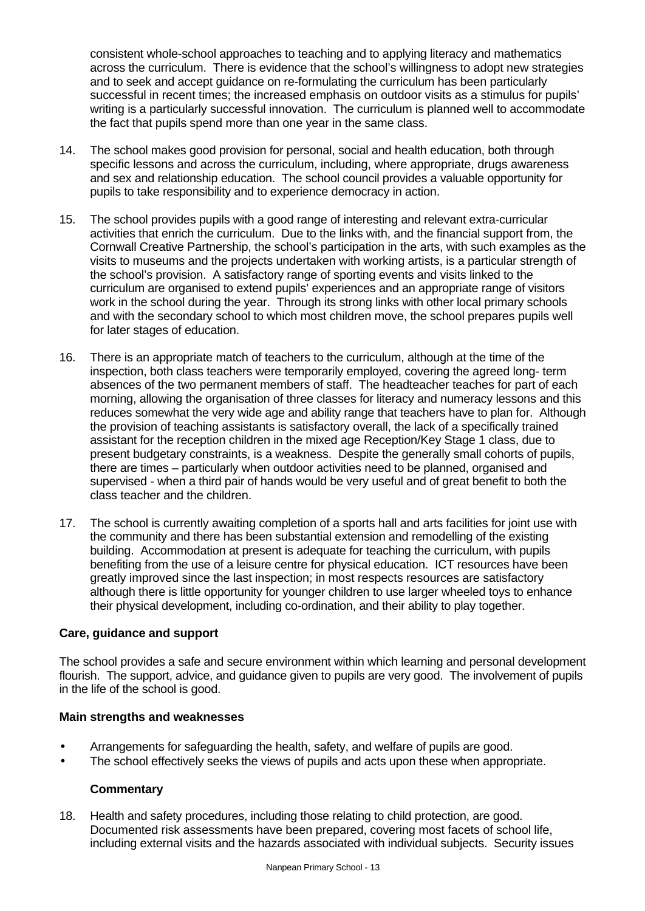consistent whole-school approaches to teaching and to applying literacy and mathematics across the curriculum. There is evidence that the school's willingness to adopt new strategies and to seek and accept guidance on re-formulating the curriculum has been particularly successful in recent times; the increased emphasis on outdoor visits as a stimulus for pupils' writing is a particularly successful innovation. The curriculum is planned well to accommodate the fact that pupils spend more than one year in the same class.

- 14. The school makes good provision for personal, social and health education, both through specific lessons and across the curriculum, including, where appropriate, drugs awareness and sex and relationship education. The school council provides a valuable opportunity for pupils to take responsibility and to experience democracy in action.
- 15. The school provides pupils with a good range of interesting and relevant extra-curricular activities that enrich the curriculum. Due to the links with, and the financial support from, the Cornwall Creative Partnership, the school's participation in the arts, with such examples as the visits to museums and the projects undertaken with working artists, is a particular strength of the school's provision. A satisfactory range of sporting events and visits linked to the curriculum are organised to extend pupils' experiences and an appropriate range of visitors work in the school during the year. Through its strong links with other local primary schools and with the secondary school to which most children move, the school prepares pupils well for later stages of education.
- 16. There is an appropriate match of teachers to the curriculum, although at the time of the inspection, both class teachers were temporarily employed, covering the agreed long- term absences of the two permanent members of staff. The headteacher teaches for part of each morning, allowing the organisation of three classes for literacy and numeracy lessons and this reduces somewhat the very wide age and ability range that teachers have to plan for. Although the provision of teaching assistants is satisfactory overall, the lack of a specifically trained assistant for the reception children in the mixed age Reception/Key Stage 1 class, due to present budgetary constraints, is a weakness. Despite the generally small cohorts of pupils, there are times – particularly when outdoor activities need to be planned, organised and supervised - when a third pair of hands would be very useful and of great benefit to both the class teacher and the children.
- 17. The school is currently awaiting completion of a sports hall and arts facilities for joint use with the community and there has been substantial extension and remodelling of the existing building. Accommodation at present is adequate for teaching the curriculum, with pupils benefiting from the use of a leisure centre for physical education. ICT resources have been greatly improved since the last inspection; in most respects resources are satisfactory although there is little opportunity for younger children to use larger wheeled toys to enhance their physical development, including co-ordination, and their ability to play together.

#### **Care, guidance and support**

The school provides a safe and secure environment within which learning and personal development flourish. The support, advice, and guidance given to pupils are very good. The involvement of pupils in the life of the school is good.

#### **Main strengths and weaknesses**

- Arrangements for safeguarding the health, safety, and welfare of pupils are good.
- The school effectively seeks the views of pupils and acts upon these when appropriate.

# **Commentary**

18. Health and safety procedures, including those relating to child protection, are good. Documented risk assessments have been prepared, covering most facets of school life, including external visits and the hazards associated with individual subjects. Security issues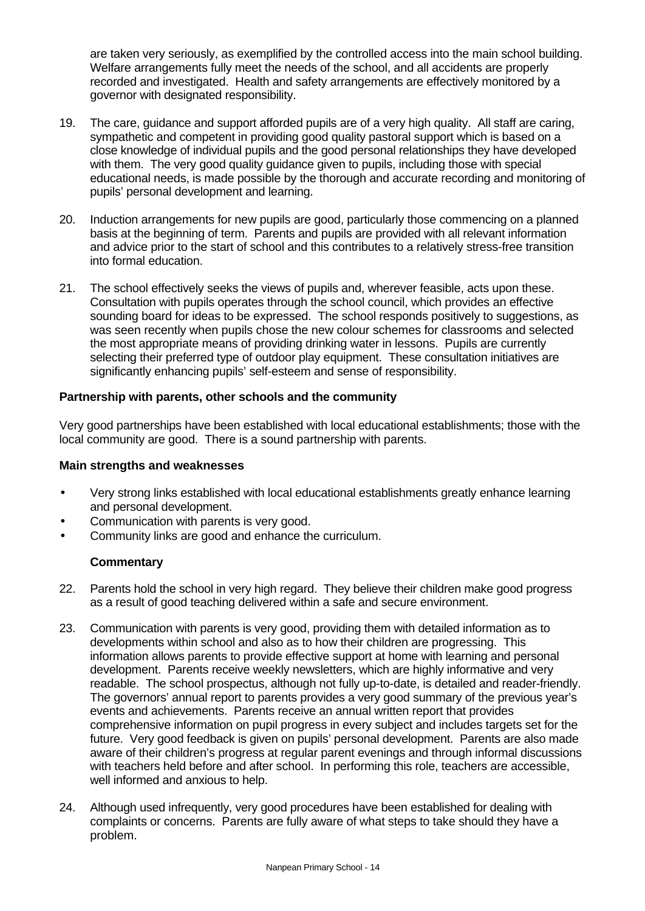are taken very seriously, as exemplified by the controlled access into the main school building. Welfare arrangements fully meet the needs of the school, and all accidents are properly recorded and investigated. Health and safety arrangements are effectively monitored by a governor with designated responsibility.

- 19. The care, guidance and support afforded pupils are of a very high quality. All staff are caring, sympathetic and competent in providing good quality pastoral support which is based on a close knowledge of individual pupils and the good personal relationships they have developed with them. The very good quality guidance given to pupils, including those with special educational needs, is made possible by the thorough and accurate recording and monitoring of pupils' personal development and learning.
- 20. Induction arrangements for new pupils are good, particularly those commencing on a planned basis at the beginning of term. Parents and pupils are provided with all relevant information and advice prior to the start of school and this contributes to a relatively stress-free transition into formal education.
- 21. The school effectively seeks the views of pupils and, wherever feasible, acts upon these. Consultation with pupils operates through the school council, which provides an effective sounding board for ideas to be expressed. The school responds positively to suggestions, as was seen recently when pupils chose the new colour schemes for classrooms and selected the most appropriate means of providing drinking water in lessons. Pupils are currently selecting their preferred type of outdoor play equipment. These consultation initiatives are significantly enhancing pupils' self-esteem and sense of responsibility.

#### **Partnership with parents, other schools and the community**

Very good partnerships have been established with local educational establishments; those with the local community are good. There is a sound partnership with parents.

#### **Main strengths and weaknesses**

- Very strong links established with local educational establishments greatly enhance learning and personal development.
- Communication with parents is very good.
- Community links are good and enhance the curriculum.

- 22. Parents hold the school in very high regard. They believe their children make good progress as a result of good teaching delivered within a safe and secure environment.
- 23. Communication with parents is very good, providing them with detailed information as to developments within school and also as to how their children are progressing. This information allows parents to provide effective support at home with learning and personal development. Parents receive weekly newsletters, which are highly informative and very readable. The school prospectus, although not fully up-to-date, is detailed and reader-friendly. The governors' annual report to parents provides a very good summary of the previous year's events and achievements. Parents receive an annual written report that provides comprehensive information on pupil progress in every subject and includes targets set for the future. Very good feedback is given on pupils' personal development. Parents are also made aware of their children's progress at regular parent evenings and through informal discussions with teachers held before and after school. In performing this role, teachers are accessible, well informed and anxious to help.
- 24. Although used infrequently, very good procedures have been established for dealing with complaints or concerns. Parents are fully aware of what steps to take should they have a problem.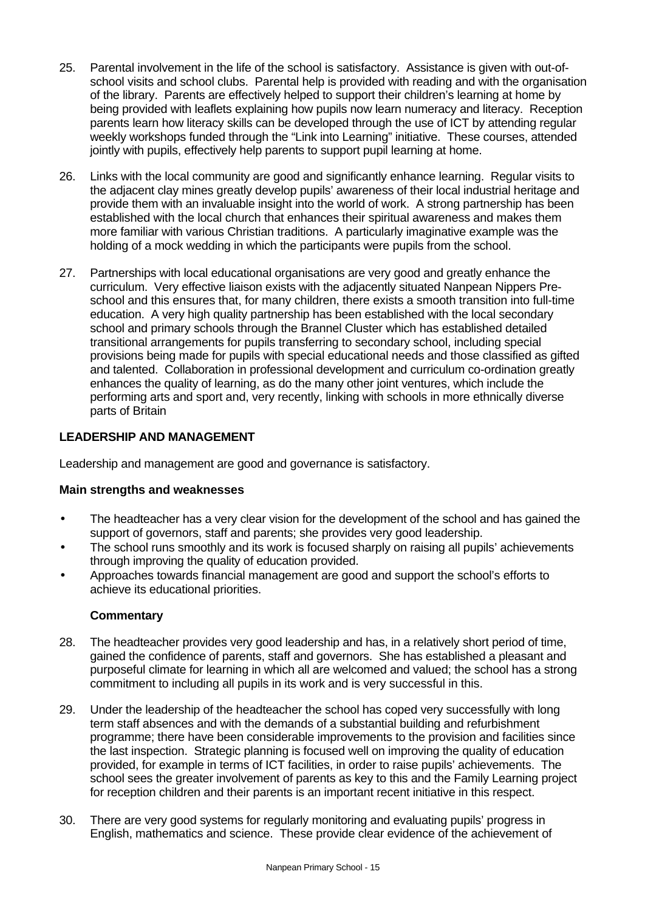- 25. Parental involvement in the life of the school is satisfactory. Assistance is given with out-ofschool visits and school clubs. Parental help is provided with reading and with the organisation of the library. Parents are effectively helped to support their children's learning at home by being provided with leaflets explaining how pupils now learn numeracy and literacy. Reception parents learn how literacy skills can be developed through the use of ICT by attending regular weekly workshops funded through the "Link into Learning" initiative. These courses, attended jointly with pupils, effectively help parents to support pupil learning at home.
- 26. Links with the local community are good and significantly enhance learning. Regular visits to the adjacent clay mines greatly develop pupils' awareness of their local industrial heritage and provide them with an invaluable insight into the world of work. A strong partnership has been established with the local church that enhances their spiritual awareness and makes them more familiar with various Christian traditions. A particularly imaginative example was the holding of a mock wedding in which the participants were pupils from the school.
- 27. Partnerships with local educational organisations are very good and greatly enhance the curriculum. Very effective liaison exists with the adjacently situated Nanpean Nippers Preschool and this ensures that, for many children, there exists a smooth transition into full-time education. A very high quality partnership has been established with the local secondary school and primary schools through the Brannel Cluster which has established detailed transitional arrangements for pupils transferring to secondary school, including special provisions being made for pupils with special educational needs and those classified as gifted and talented. Collaboration in professional development and curriculum co-ordination greatly enhances the quality of learning, as do the many other joint ventures, which include the performing arts and sport and, very recently, linking with schools in more ethnically diverse parts of Britain

# **LEADERSHIP AND MANAGEMENT**

Leadership and management are good and governance is satisfactory.

#### **Main strengths and weaknesses**

- The headteacher has a very clear vision for the development of the school and has gained the support of governors, staff and parents; she provides very good leadership.
- The school runs smoothly and its work is focused sharply on raising all pupils' achievements through improving the quality of education provided.
- Approaches towards financial management are good and support the school's efforts to achieve its educational priorities.

- 28. The headteacher provides very good leadership and has, in a relatively short period of time, gained the confidence of parents, staff and governors. She has established a pleasant and purposeful climate for learning in which all are welcomed and valued; the school has a strong commitment to including all pupils in its work and is very successful in this.
- 29. Under the leadership of the headteacher the school has coped very successfully with long term staff absences and with the demands of a substantial building and refurbishment programme; there have been considerable improvements to the provision and facilities since the last inspection. Strategic planning is focused well on improving the quality of education provided, for example in terms of ICT facilities, in order to raise pupils' achievements. The school sees the greater involvement of parents as key to this and the Family Learning project for reception children and their parents is an important recent initiative in this respect.
- 30. There are very good systems for regularly monitoring and evaluating pupils' progress in English, mathematics and science. These provide clear evidence of the achievement of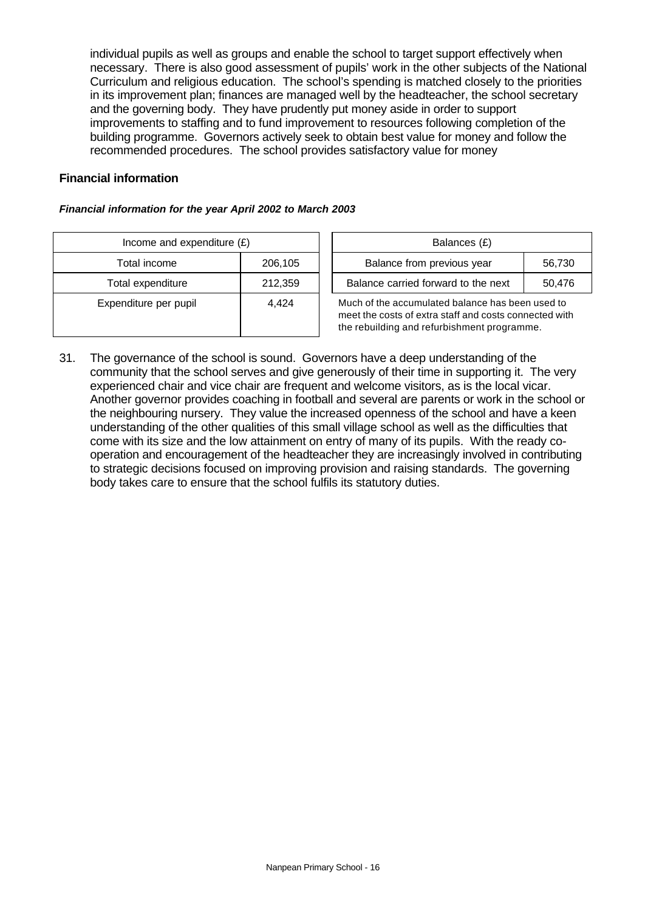individual pupils as well as groups and enable the school to target support effectively when necessary. There is also good assessment of pupils' work in the other subjects of the National Curriculum and religious education. The school's spending is matched closely to the priorities in its improvement plan; finances are managed well by the headteacher, the school secretary and the governing body. They have prudently put money aside in order to support improvements to staffing and to fund improvement to resources following completion of the building programme. Governors actively seek to obtain best value for money and follow the recommended procedures. The school provides satisfactory value for money

#### **Financial information**

#### *Financial information for the year April 2002 to March 2003*

| Income and expenditure $(E)$ | Balances (£) |                                                                                                                 |
|------------------------------|--------------|-----------------------------------------------------------------------------------------------------------------|
| Total income                 | 206,105      | Balance from previous year                                                                                      |
| Total expenditure            | 212,359      | Balance carried forward to the                                                                                  |
| Expenditure per pupil        | 4.424        | Much of the accumulated balance I<br>meet the costs of extra staff and co<br>the rebuilding and refurbishment p |

| Income and expenditure $(E)$ |                     | Balances (£)                                     |        |
|------------------------------|---------------------|--------------------------------------------------|--------|
| 206.105<br>Total income      |                     | Balance from previous year                       | 56.730 |
| Total expenditure            | 212,359             | Balance carried forward to the next              | 50.476 |
| (0.888)                      | $\Lambda$ $\Lambda$ | Much of the acoumulated belenge has been used to |        |

Much of the accumulated balance has been used to meet the costs of extra staff and costs connected with the rebuilding and refurbishment programme.

31. The governance of the school is sound. Governors have a deep understanding of the community that the school serves and give generously of their time in supporting it. The very experienced chair and vice chair are frequent and welcome visitors, as is the local vicar. Another governor provides coaching in football and several are parents or work in the school or the neighbouring nursery. They value the increased openness of the school and have a keen understanding of the other qualities of this small village school as well as the difficulties that come with its size and the low attainment on entry of many of its pupils. With the ready cooperation and encouragement of the headteacher they are increasingly involved in contributing to strategic decisions focused on improving provision and raising standards. The governing body takes care to ensure that the school fulfils its statutory duties.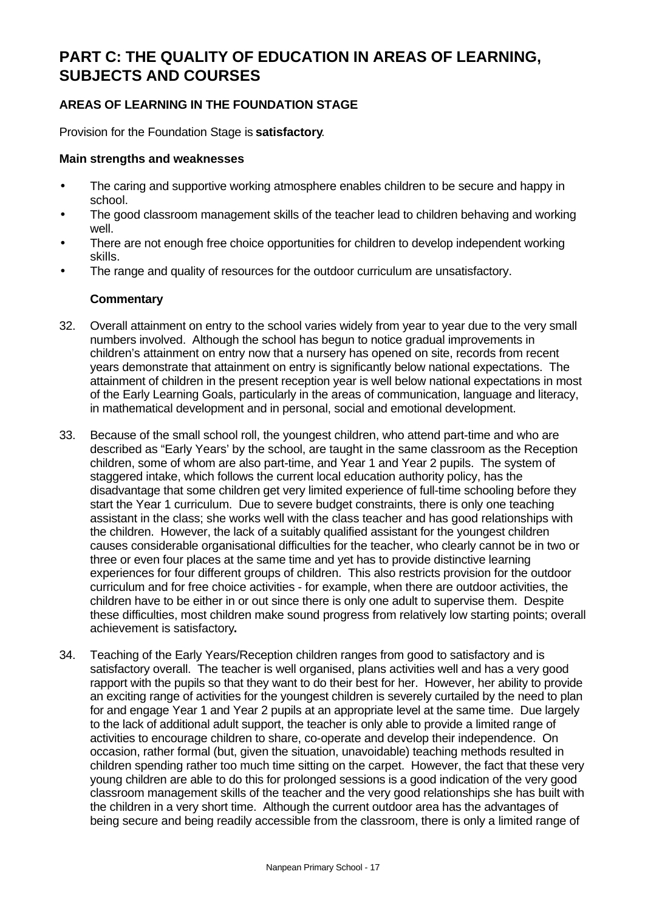# **PART C: THE QUALITY OF EDUCATION IN AREAS OF LEARNING, SUBJECTS AND COURSES**

# **AREAS OF LEARNING IN THE FOUNDATION STAGE**

Provision for the Foundation Stage is **satisfactory**.

#### **Main strengths and weaknesses**

- The caring and supportive working atmosphere enables children to be secure and happy in school.
- The good classroom management skills of the teacher lead to children behaving and working well.
- There are not enough free choice opportunities for children to develop independent working skills.
- The range and quality of resources for the outdoor curriculum are unsatisfactory.

- 32. Overall attainment on entry to the school varies widely from year to year due to the very small numbers involved. Although the school has begun to notice gradual improvements in children's attainment on entry now that a nursery has opened on site, records from recent years demonstrate that attainment on entry is significantly below national expectations. The attainment of children in the present reception year is well below national expectations in most of the Early Learning Goals, particularly in the areas of communication, language and literacy, in mathematical development and in personal, social and emotional development.
- 33. Because of the small school roll, the youngest children, who attend part-time and who are described as "Early Years' by the school, are taught in the same classroom as the Reception children, some of whom are also part-time, and Year 1 and Year 2 pupils. The system of staggered intake, which follows the current local education authority policy, has the disadvantage that some children get very limited experience of full-time schooling before they start the Year 1 curriculum. Due to severe budget constraints, there is only one teaching assistant in the class; she works well with the class teacher and has good relationships with the children. However, the lack of a suitably qualified assistant for the youngest children causes considerable organisational difficulties for the teacher, who clearly cannot be in two or three or even four places at the same time and yet has to provide distinctive learning experiences for four different groups of children. This also restricts provision for the outdoor curriculum and for free choice activities - for example, when there are outdoor activities, the children have to be either in or out since there is only one adult to supervise them. Despite these difficulties, most children make sound progress from relatively low starting points; overall achievement is satisfactory**.**
- 34. Teaching of the Early Years/Reception children ranges from good to satisfactory and is satisfactory overall. The teacher is well organised, plans activities well and has a very good rapport with the pupils so that they want to do their best for her. However, her ability to provide an exciting range of activities for the youngest children is severely curtailed by the need to plan for and engage Year 1 and Year 2 pupils at an appropriate level at the same time. Due largely to the lack of additional adult support, the teacher is only able to provide a limited range of activities to encourage children to share, co-operate and develop their independence. On occasion, rather formal (but, given the situation, unavoidable) teaching methods resulted in children spending rather too much time sitting on the carpet. However, the fact that these very young children are able to do this for prolonged sessions is a good indication of the very good classroom management skills of the teacher and the very good relationships she has built with the children in a very short time. Although the current outdoor area has the advantages of being secure and being readily accessible from the classroom, there is only a limited range of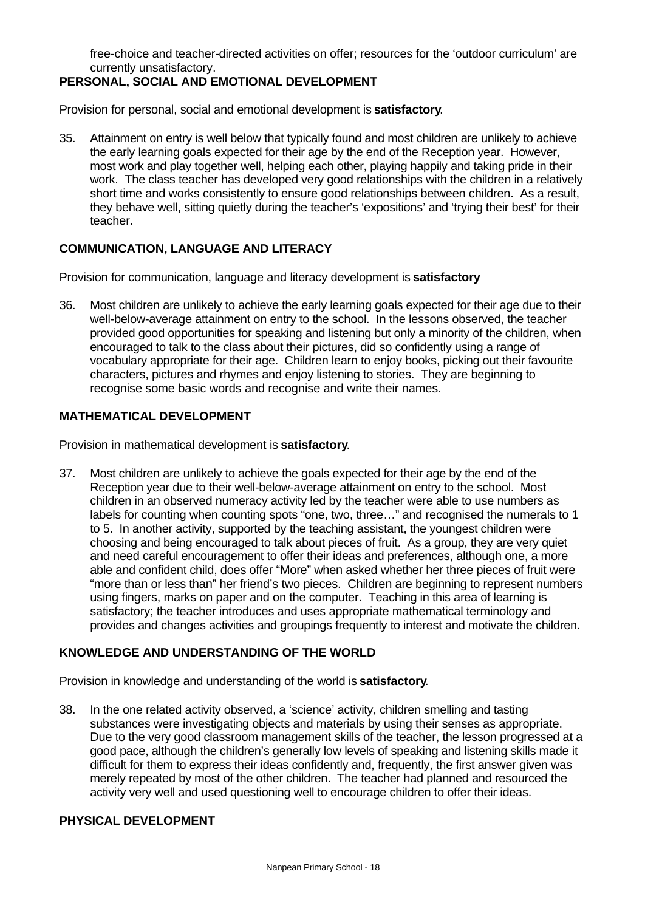free-choice and teacher-directed activities on offer; resources for the 'outdoor curriculum' are currently unsatisfactory.

# **PERSONAL, SOCIAL AND EMOTIONAL DEVELOPMENT**

Provision for personal, social and emotional development is **satisfactory**.

35. Attainment on entry is well below that typically found and most children are unlikely to achieve the early learning goals expected for their age by the end of the Reception year. However, most work and play together well, helping each other, playing happily and taking pride in their work. The class teacher has developed very good relationships with the children in a relatively short time and works consistently to ensure good relationships between children. As a result, they behave well, sitting quietly during the teacher's 'expositions' and 'trying their best' for their teacher.

#### **COMMUNICATION, LANGUAGE AND LITERACY**

Provision for communication, language and literacy development is **satisfactory**

36. Most children are unlikely to achieve the early learning goals expected for their age due to their well-below-average attainment on entry to the school. In the lessons observed, the teacher provided good opportunities for speaking and listening but only a minority of the children, when encouraged to talk to the class about their pictures, did so confidently using a range of vocabulary appropriate for their age. Children learn to enjoy books, picking out their favourite characters, pictures and rhymes and enjoy listening to stories. They are beginning to recognise some basic words and recognise and write their names.

#### **MATHEMATICAL DEVELOPMENT**

Provision in mathematical development is **satisfactory**.

37. Most children are unlikely to achieve the goals expected for their age by the end of the Reception year due to their well-below-average attainment on entry to the school. Most children in an observed numeracy activity led by the teacher were able to use numbers as labels for counting when counting spots "one, two, three…" and recognised the numerals to 1 to 5. In another activity, supported by the teaching assistant, the youngest children were choosing and being encouraged to talk about pieces of fruit. As a group, they are very quiet and need careful encouragement to offer their ideas and preferences, although one, a more able and confident child, does offer "More" when asked whether her three pieces of fruit were "more than or less than" her friend's two pieces. Children are beginning to represent numbers using fingers, marks on paper and on the computer.Teaching in this area of learning is satisfactory; the teacher introduces and uses appropriate mathematical terminology and provides and changes activities and groupings frequently to interest and motivate the children.

#### **KNOWLEDGE AND UNDERSTANDING OF THE WORLD**

Provision in knowledge and understanding of the world is **satisfactory**.

38. In the one related activity observed, a 'science' activity, children smelling and tasting substances were investigating objects and materials by using their senses as appropriate. Due to the very good classroom management skills of the teacher, the lesson progressed at a good pace, although the children's generally low levels of speaking and listening skills made it difficult for them to express their ideas confidently and, frequently, the first answer given was merely repeated by most of the other children. The teacher had planned and resourced the activity very well and used questioning well to encourage children to offer their ideas.

#### **PHYSICAL DEVELOPMENT**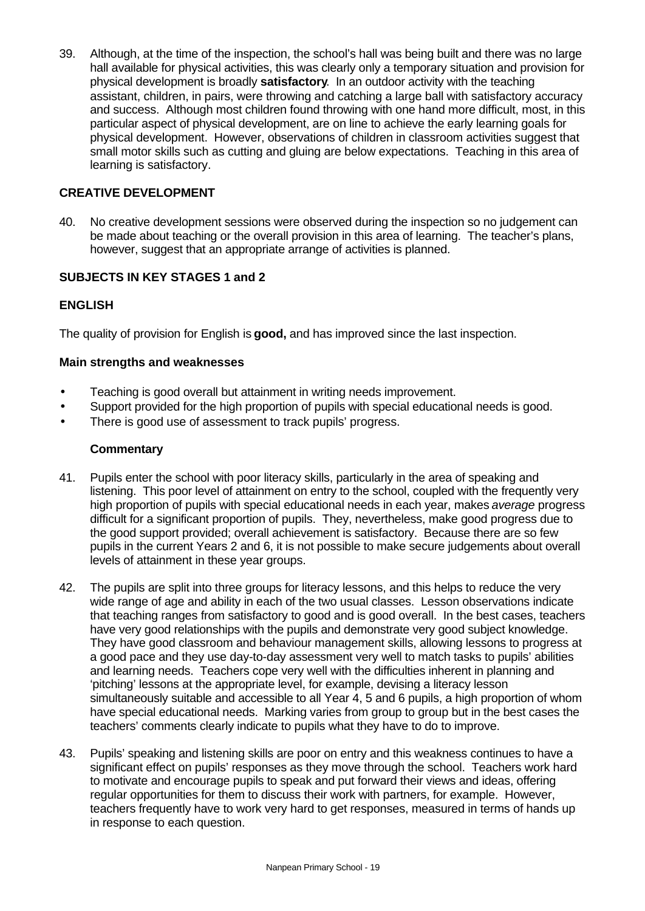39. Although, at the time of the inspection, the school's hall was being built and there was no large hall available for physical activities, this was clearly only a temporary situation and provision for physical development is broadly **satisfactory**. In an outdoor activity with the teaching assistant, children, in pairs, were throwing and catching a large ball with satisfactory accuracy and success. Although most children found throwing with one hand more difficult, most, in this particular aspect of physical development, are on line to achieve the early learning goals for physical development. However, observations of children in classroom activities suggest that small motor skills such as cutting and gluing are below expectations. Teaching in this area of learning is satisfactory.

### **CREATIVE DEVELOPMENT**

40. No creative development sessions were observed during the inspection so no judgement can be made about teaching or the overall provision in this area of learning. The teacher's plans, however, suggest that an appropriate arrange of activities is planned.

# **SUBJECTS IN KEY STAGES 1 and 2**

# **ENGLISH**

The quality of provision for English is **good,** and has improved since the last inspection.

#### **Main strengths and weaknesses**

- Teaching is good overall but attainment in writing needs improvement.
- Support provided for the high proportion of pupils with special educational needs is good.
- There is good use of assessment to track pupils' progress.

- 41. Pupils enter the school with poor literacy skills, particularly in the area of speaking and listening. This poor level of attainment on entry to the school, coupled with the frequently very high proportion of pupils with special educational needs in each year, makes *average* progress difficult for a significant proportion of pupils. They, nevertheless, make good progress due to the good support provided; overall achievement is satisfactory. Because there are so few pupils in the current Years 2 and 6, it is not possible to make secure judgements about overall levels of attainment in these year groups.
- 42. The pupils are split into three groups for literacy lessons, and this helps to reduce the very wide range of age and ability in each of the two usual classes. Lesson observations indicate that teaching ranges from satisfactory to good and is good overall. In the best cases, teachers have very good relationships with the pupils and demonstrate very good subject knowledge. They have good classroom and behaviour management skills, allowing lessons to progress at a good pace and they use day-to-day assessment very well to match tasks to pupils' abilities and learning needs. Teachers cope very well with the difficulties inherent in planning and 'pitching' lessons at the appropriate level, for example, devising a literacy lesson simultaneously suitable and accessible to all Year 4, 5 and 6 pupils, a high proportion of whom have special educational needs. Marking varies from group to group but in the best cases the teachers' comments clearly indicate to pupils what they have to do to improve.
- 43. Pupils' speaking and listening skills are poor on entry and this weakness continues to have a significant effect on pupils' responses as they move through the school. Teachers work hard to motivate and encourage pupils to speak and put forward their views and ideas, offering regular opportunities for them to discuss their work with partners, for example. However, teachers frequently have to work very hard to get responses, measured in terms of hands up in response to each question.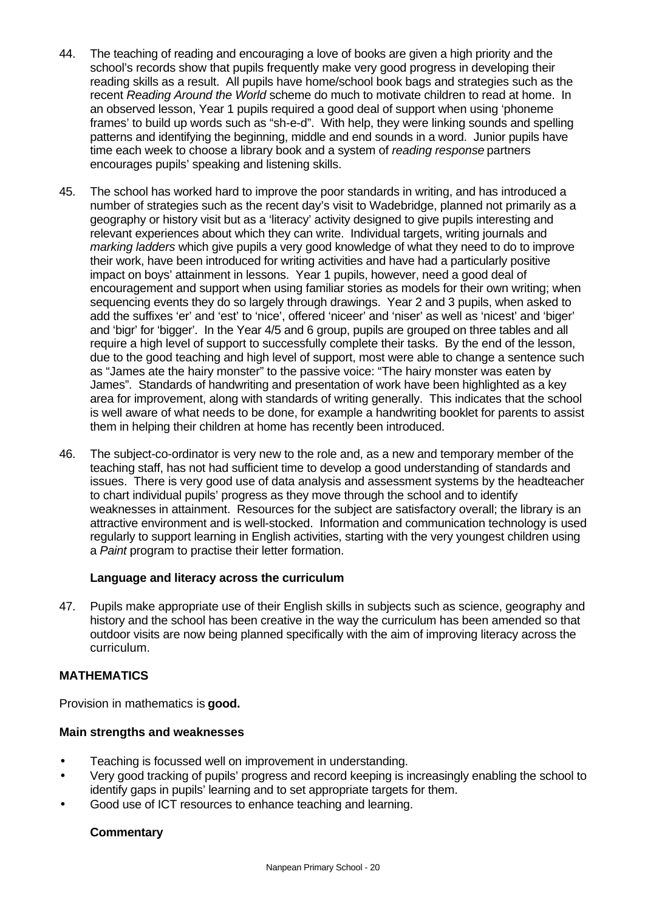- 44. The teaching of reading and encouraging a love of books are given a high priority and the school's records show that pupils frequently make very good progress in developing their reading skills as a result. All pupils have home/school book bags and strategies such as the recent *Reading Around the World* scheme do much to motivate children to read at home. In an observed lesson, Year 1 pupils required a good deal of support when using 'phoneme frames' to build up words such as "sh-e-d". With help, they were linking sounds and spelling patterns and identifying the beginning, middle and end sounds in a word. Junior pupils have time each week to choose a library book and a system of *reading response* partners encourages pupils' speaking and listening skills.
- 45. The school has worked hard to improve the poor standards in writing, and has introduced a number of strategies such as the recent day's visit to Wadebridge, planned not primarily as a geography or history visit but as a 'literacy' activity designed to give pupils interesting and relevant experiences about which they can write. Individual targets, writing journals and *marking ladders* which give pupils a very good knowledge of what they need to do to improve their work, have been introduced for writing activities and have had a particularly positive impact on boys' attainment in lessons. Year 1 pupils, however, need a good deal of encouragement and support when using familiar stories as models for their own writing; when sequencing events they do so largely through drawings. Year 2 and 3 pupils, when asked to add the suffixes 'er' and 'est' to 'nice', offered 'niceer' and 'niser' as well as 'nicest' and 'biger' and 'bigr' for 'bigger'. In the Year 4/5 and 6 group, pupils are grouped on three tables and all require a high level of support to successfully complete their tasks. By the end of the lesson, due to the good teaching and high level of support, most were able to change a sentence such as "James ate the hairy monster" to the passive voice: "The hairy monster was eaten by James". Standards of handwriting and presentation of work have been highlighted as a key area for improvement, along with standards of writing generally. This indicates that the school is well aware of what needs to be done, for example a handwriting booklet for parents to assist them in helping their children at home has recently been introduced.
- 46. The subject-co-ordinator is very new to the role and, as a new and temporary member of the teaching staff, has not had sufficient time to develop a good understanding of standards and issues. There is very good use of data analysis and assessment systems by the headteacher to chart individual pupils' progress as they move through the school and to identify weaknesses in attainment. Resources for the subject are satisfactory overall; the library is an attractive environment and is well-stocked. Information and communication technology is used regularly to support learning in English activities, starting with the very youngest children using a *Paint* program to practise their letter formation.

#### **Language and literacy across the curriculum**

47. Pupils make appropriate use of their English skills in subjects such as science, geography and history and the school has been creative in the way the curriculum has been amended so that outdoor visits are now being planned specifically with the aim of improving literacy across the curriculum.

#### **MATHEMATICS**

Provision in mathematics is **good.**

#### **Main strengths and weaknesses**

- Teaching is focussed well on improvement in understanding.
- Very good tracking of pupils' progress and record keeping is increasingly enabling the school to identify gaps in pupils' learning and to set appropriate targets for them.
- Good use of ICT resources to enhance teaching and learning.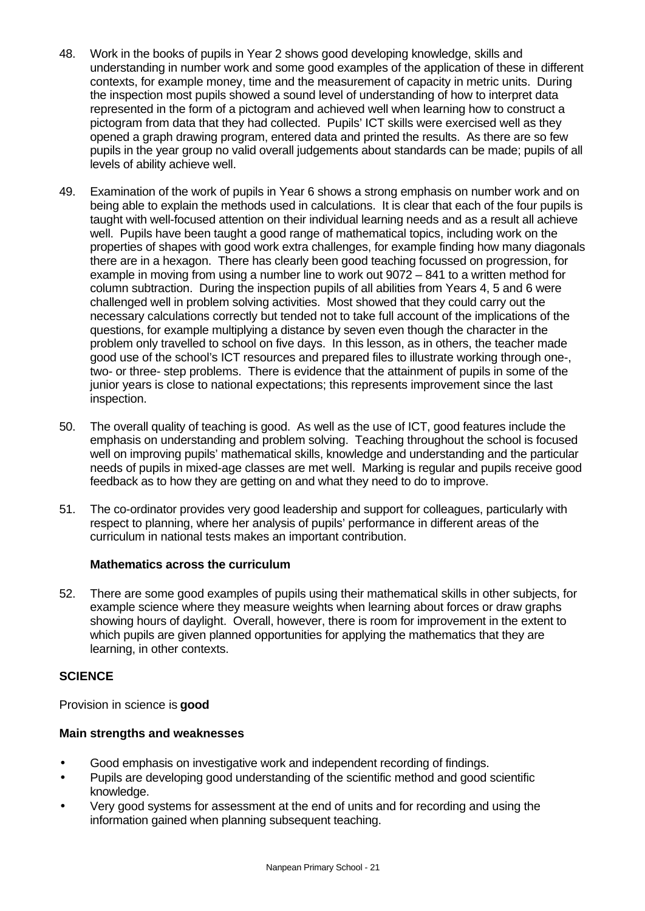- 48. Work in the books of pupils in Year 2 shows good developing knowledge, skills and understanding in number work and some good examples of the application of these in different contexts, for example money, time and the measurement of capacity in metric units. During the inspection most pupils showed a sound level of understanding of how to interpret data represented in the form of a pictogram and achieved well when learning how to construct a pictogram from data that they had collected. Pupils' ICT skills were exercised well as they opened a graph drawing program, entered data and printed the results. As there are so few pupils in the year group no valid overall judgements about standards can be made; pupils of all levels of ability achieve well.
- 49. Examination of the work of pupils in Year 6 shows a strong emphasis on number work and on being able to explain the methods used in calculations. It is clear that each of the four pupils is taught with well-focused attention on their individual learning needs and as a result all achieve well. Pupils have been taught a good range of mathematical topics, including work on the properties of shapes with good work extra challenges, for example finding how many diagonals there are in a hexagon. There has clearly been good teaching focussed on progression, for example in moving from using a number line to work out 9072 – 841 to a written method for column subtraction. During the inspection pupils of all abilities from Years 4, 5 and 6 were challenged well in problem solving activities. Most showed that they could carry out the necessary calculations correctly but tended not to take full account of the implications of the questions, for example multiplying a distance by seven even though the character in the problem only travelled to school on five days. In this lesson, as in others, the teacher made good use of the school's ICT resources and prepared files to illustrate working through one-, two- or three- step problems. There is evidence that the attainment of pupils in some of the junior years is close to national expectations; this represents improvement since the last inspection.
- 50. The overall quality of teaching is good. As well as the use of ICT, good features include the emphasis on understanding and problem solving. Teaching throughout the school is focused well on improving pupils' mathematical skills, knowledge and understanding and the particular needs of pupils in mixed-age classes are met well. Marking is regular and pupils receive good feedback as to how they are getting on and what they need to do to improve.
- 51. The co-ordinator provides very good leadership and support for colleagues, particularly with respect to planning, where her analysis of pupils' performance in different areas of the curriculum in national tests makes an important contribution.

# **Mathematics across the curriculum**

52. There are some good examples of pupils using their mathematical skills in other subjects, for example science where they measure weights when learning about forces or draw graphs showing hours of daylight. Overall, however, there is room for improvement in the extent to which pupils are given planned opportunities for applying the mathematics that they are learning, in other contexts.

#### **SCIENCE**

Provision in science is **good**

#### **Main strengths and weaknesses**

- Good emphasis on investigative work and independent recording of findings.
- Pupils are developing good understanding of the scientific method and good scientific knowledge.
- Very good systems for assessment at the end of units and for recording and using the information gained when planning subsequent teaching.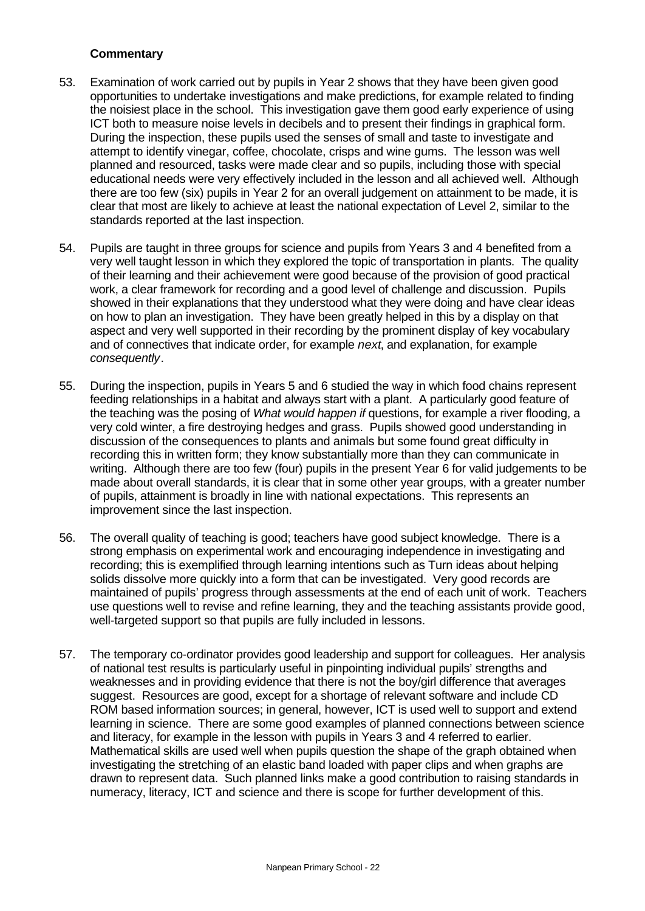- 53. Examination of work carried out by pupils in Year 2 shows that they have been given good opportunities to undertake investigations and make predictions, for example related to finding the noisiest place in the school. This investigation gave them good early experience of using ICT both to measure noise levels in decibels and to present their findings in graphical form. During the inspection, these pupils used the senses of small and taste to investigate and attempt to identify vinegar, coffee, chocolate, crisps and wine gums. The lesson was well planned and resourced, tasks were made clear and so pupils, including those with special educational needs were very effectively included in the lesson and all achieved well. Although there are too few (six) pupils in Year 2 for an overall judgement on attainment to be made, it is clear that most are likely to achieve at least the national expectation of Level 2, similar to the standards reported at the last inspection.
- 54. Pupils are taught in three groups for science and pupils from Years 3 and 4 benefited from a very well taught lesson in which they explored the topic of transportation in plants. The quality of their learning and their achievement were good because of the provision of good practical work, a clear framework for recording and a good level of challenge and discussion. Pupils showed in their explanations that they understood what they were doing and have clear ideas on how to plan an investigation. They have been greatly helped in this by a display on that aspect and very well supported in their recording by the prominent display of key vocabulary and of connectives that indicate order, for example *next*, and explanation, for example *consequently*.
- 55. During the inspection, pupils in Years 5 and 6 studied the way in which food chains represent feeding relationships in a habitat and always start with a plant. A particularly good feature of the teaching was the posing of *What would happen if* questions, for example a river flooding, a very cold winter, a fire destroying hedges and grass. Pupils showed good understanding in discussion of the consequences to plants and animals but some found great difficulty in recording this in written form; they know substantially more than they can communicate in writing. Although there are too few (four) pupils in the present Year 6 for valid judgements to be made about overall standards, it is clear that in some other year groups, with a greater number of pupils, attainment is broadly in line with national expectations. This represents an improvement since the last inspection.
- 56. The overall quality of teaching is good; teachers have good subject knowledge. There is a strong emphasis on experimental work and encouraging independence in investigating and recording; this is exemplified through learning intentions such as Turn ideas about helping solids dissolve more quickly into a form that can be investigated. Very good records are maintained of pupils' progress through assessments at the end of each unit of work. Teachers use questions well to revise and refine learning, they and the teaching assistants provide good, well-targeted support so that pupils are fully included in lessons.
- 57. The temporary co-ordinator provides good leadership and support for colleagues. Her analysis of national test results is particularly useful in pinpointing individual pupils' strengths and weaknesses and in providing evidence that there is not the boy/girl difference that averages suggest.Resources are good, except for a shortage of relevant software and include CD ROM based information sources; in general, however, ICT is used well to support and extend learning in science.There are some good examples of planned connections between science and literacy, for example in the lesson with pupils in Years 3 and 4 referred to earlier. Mathematical skills are used well when pupils question the shape of the graph obtained when investigating the stretching of an elastic band loaded with paper clips and when graphs are drawn to represent data. Such planned links make a good contribution to raising standards in numeracy, literacy, ICT and science and there is scope for further development of this.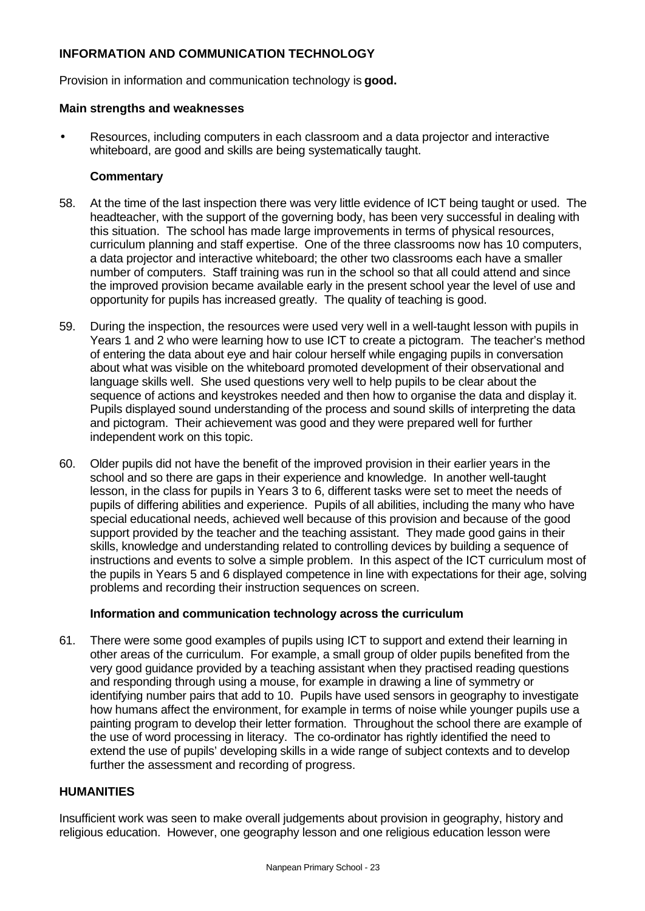# **INFORMATION AND COMMUNICATION TECHNOLOGY**

Provision in information and communication technology is **good.**

#### **Main strengths and weaknesses**

• Resources, including computers in each classroom and a data projector and interactive whiteboard, are good and skills are being systematically taught.

#### **Commentary**

- 58. At the time of the last inspection there was very little evidence of ICT being taught or used.The headteacher, with the support of the governing body, has been very successful in dealing with this situation. The school has made large improvements in terms of physical resources, curriculum planning and staff expertise. One of the three classrooms now has 10 computers, a data projector and interactive whiteboard; the other two classrooms each have a smaller number of computers. Staff training was run in the school so that all could attend and since the improved provision became available early in the present school year the level of use and opportunity for pupils has increased greatly. The quality of teaching is good.
- 59. During the inspection, the resources were used very well in a well-taught lesson with pupils in Years 1 and 2 who were learning how to use ICT to create a pictogram. The teacher's method of entering the data about eye and hair colour herself while engaging pupils in conversation about what was visible on the whiteboard promoted development of their observational and language skills well. She used questions very well to help pupils to be clear about the sequence of actions and keystrokes needed and then how to organise the data and display it. Pupils displayed sound understanding of the process and sound skills of interpreting the data and pictogram. Their achievement was good and they were prepared well for further independent work on this topic.
- 60. Older pupils did not have the benefit of the improved provision in their earlier years in the school and so there are gaps in their experience and knowledge. In another well-taught lesson, in the class for pupils in Years 3 to 6, different tasks were set to meet the needs of pupils of differing abilities and experience. Pupils of all abilities, including the many who have special educational needs, achieved well because of this provision and because of the good support provided by the teacher and the teaching assistant. They made good gains in their skills, knowledge and understanding related to controlling devices by building a sequence of instructions and events to solve a simple problem. In this aspect of the ICT curriculum most of the pupils in Years 5 and 6 displayed competence in line with expectations for their age, solving problems and recording their instruction sequences on screen.

#### **Information and communication technology across the curriculum**

61. There were some good examples of pupils using ICT to support and extend their learning in other areas of the curriculum. For example, a small group of older pupils benefited from the very good guidance provided by a teaching assistant when they practised reading questions and responding through using a mouse, for example in drawing a line of symmetry or identifying number pairs that add to 10. Pupils have used sensors in geography to investigate how humans affect the environment, for example in terms of noise while younger pupils use a painting program to develop their letter formation. Throughout the school there are example of the use of word processing in literacy. The co-ordinator has rightly identified the need to extend the use of pupils' developing skills in a wide range of subject contexts and to develop further the assessment and recording of progress.

### **HUMANITIES**

Insufficient work was seen to make overall judgements about provision in geography, history and religious education. However, one geography lesson and one religious education lesson were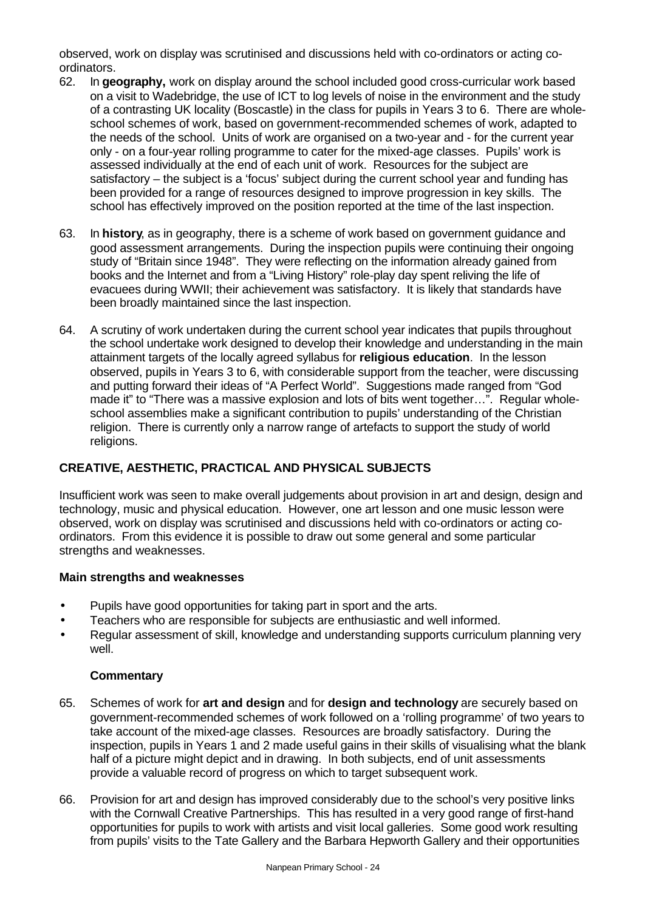observed, work on display was scrutinised and discussions held with co-ordinators or acting coordinators.

- 62. In **geography,** work on display around the school included good cross-curricular work based on a visit to Wadebridge, the use of ICT to log levels of noise in the environment and the study of a contrasting UK locality (Boscastle) in the class for pupils in Years 3 to 6. There are wholeschool schemes of work, based on government-recommended schemes of work, adapted to the needs of the school. Units of work are organised on a two-year and - for the current year only - on a four-year rolling programme to cater for the mixed-age classes. Pupils' work is assessed individually at the end of each unit of work. Resources for the subject are satisfactory – the subject is a 'focus' subject during the current school year and funding has been provided for a range of resources designed to improve progression in key skills. The school has effectively improved on the position reported at the time of the last inspection.
- 63. In **history**, as in geography, there is a scheme of work based on government guidance and good assessment arrangements. During the inspection pupils were continuing their ongoing study of "Britain since 1948". They were reflecting on the information already gained from books and the Internet and from a "Living History" role-play day spent reliving the life of evacuees during WWII; their achievement was satisfactory. It is likely that standards have been broadly maintained since the last inspection.
- 64. A scrutiny of work undertaken during the current school year indicates that pupils throughout the school undertake work designed to develop their knowledge and understanding in the main attainment targets of the locally agreed syllabus for **religious education**. In the lesson observed, pupils in Years 3 to 6, with considerable support from the teacher, were discussing and putting forward their ideas of "A Perfect World". Suggestions made ranged from "God made it" to "There was a massive explosion and lots of bits went together...". Regular wholeschool assemblies make a significant contribution to pupils' understanding of the Christian religion. There is currently only a narrow range of artefacts to support the study of world religions.

# **CREATIVE, AESTHETIC, PRACTICAL AND PHYSICAL SUBJECTS**

Insufficient work was seen to make overall judgements about provision in art and design, design and technology, music and physical education. However, one art lesson and one music lesson were observed, work on display was scrutinised and discussions held with co-ordinators or acting coordinators. From this evidence it is possible to draw out some general and some particular strengths and weaknesses.

#### **Main strengths and weaknesses**

- Pupils have good opportunities for taking part in sport and the arts.
- Teachers who are responsible for subjects are enthusiastic and well informed.
- Regular assessment of skill, knowledge and understanding supports curriculum planning very well.

- 65. Schemes of work for **art and design** and for **design and technology** are securely based on government-recommended schemes of work followed on a 'rolling programme' of two years to take account of the mixed-age classes. Resources are broadly satisfactory. During the inspection, pupils in Years 1 and 2 made useful gains in their skills of visualising what the blank half of a picture might depict and in drawing. In both subjects, end of unit assessments provide a valuable record of progress on which to target subsequent work.
- 66. Provision for art and design has improved considerably due to the school's very positive links with the Cornwall Creative Partnerships. This has resulted in a very good range of first-hand opportunities for pupils to work with artists and visit local galleries. Some good work resulting from pupils' visits to the Tate Gallery and the Barbara Hepworth Gallery and their opportunities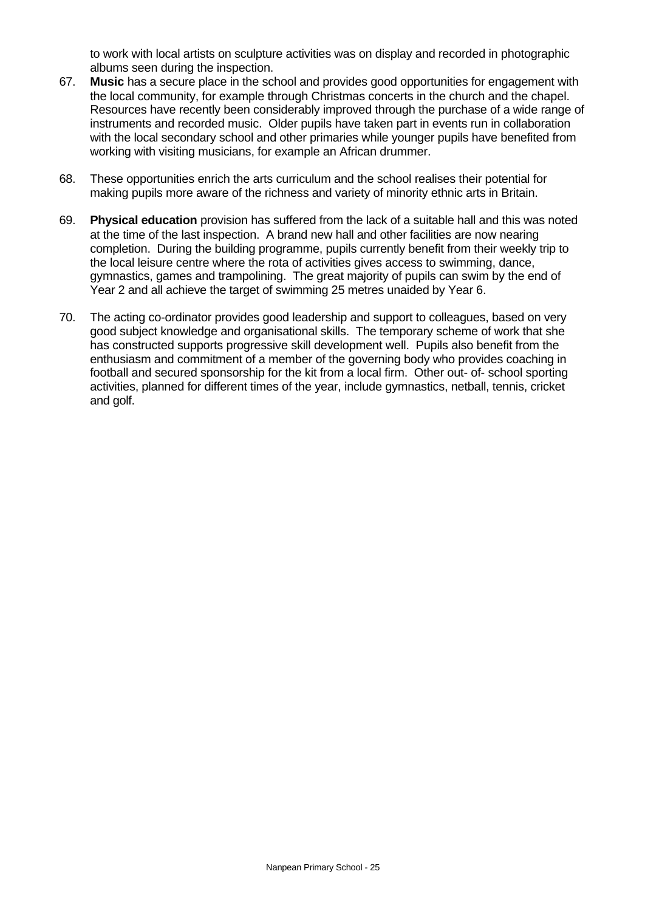to work with local artists on sculpture activities was on display and recorded in photographic albums seen during the inspection.

- 67. **Music** has a secure place in the school and provides good opportunities for engagement with the local community, for example through Christmas concerts in the church and the chapel. Resources have recently been considerably improved through the purchase of a wide range of instruments and recorded music. Older pupils have taken part in events run in collaboration with the local secondary school and other primaries while younger pupils have benefited from working with visiting musicians, for example an African drummer.
- 68. These opportunities enrich the arts curriculum and the school realises their potential for making pupils more aware of the richness and variety of minority ethnic arts in Britain.
- 69. **Physical education** provision has suffered from the lack of a suitable hall and this was noted at the time of the last inspection.A brand new hall and other facilities are now nearing completion. During the building programme, pupils currently benefit from their weekly trip to the local leisure centre where the rota of activities gives access to swimming, dance, gymnastics, games and trampolining. The great majority of pupils can swim by the end of Year 2 and all achieve the target of swimming 25 metres unaided by Year 6.
- 70. The acting co-ordinator provides good leadership and support to colleagues, based on very good subject knowledge and organisational skills. The temporary scheme of work that she has constructed supports progressive skill development well. Pupils also benefit from the enthusiasm and commitment of a member of the governing body who provides coaching in football and secured sponsorship for the kit from a local firm. Other out- of- school sporting activities, planned for different times of the year, include gymnastics, netball, tennis, cricket and golf.